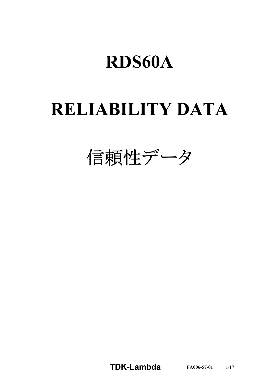# **RELIABILITY DATA**

信頼性データ

**TDKLambda FA0065701** 1/17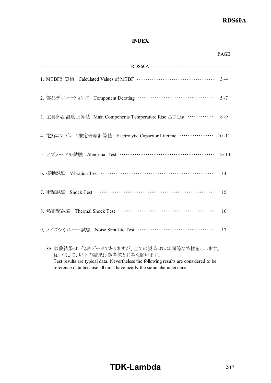#### **INDEX**

|                                                                    | <b>PAGE</b>   |
|--------------------------------------------------------------------|---------------|
|                                                                    |               |
|                                                                    |               |
| 2. 部品ディレーティング Component Derating …………………………………… 5~7                |               |
| 3. 主要部品温度上昇值 Main Components Temperature Rise △T List …………… 8~9    |               |
| 4. 電解コンデンサ推定寿命計算値 Electrolytic Capacitor Lifetime ……………… 10~11     |               |
| 5. アブノーマル試験 Abnormal Test ………………………………………… 12~13                   |               |
|                                                                    | 14            |
| 7. 衝擊試験 Shock Test ………………………………………………………                           | 15            |
|                                                                    | <sup>16</sup> |
| 9. ノイズシミュレート試験 Noise Simulate Test …………………………………                   | 17            |
| ※試験結果は、代表データでありますが、全ての製品はほぼ同等な特性を示します。<br>従いまして、以下の結果は参考値とお考え願います。 |               |

Test results are typical data. Nevertheless the following results are considered to be reference data because all units have nearly the same characteristics.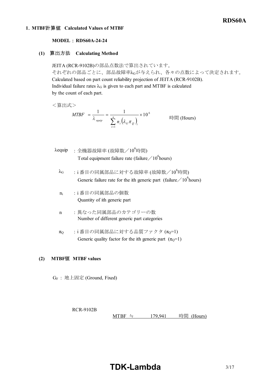#### **1**.**MTBF**計算値 **Calculated Values of MTBF**

#### **MODEL : RDS60A-24-24**

#### **(1)** 算出方法 **Calculating Method**

JEITA (RCR-9102B)の部品点数法で算出されています。 それぞれの部品ごとに、部品故障率λGが与えられ、各々の点数によって決定されます。 Calculated based on part count reliability projection of JEITA (RCR-9102B). Individual failure rates  $\lambda_G$  is given to each part and MTBF is calculated by the count of each part.

<算出式>

$$
MTBF = \frac{1}{\lambda_{\text{equip}}} = \frac{1}{\sum_{i=1}^{n} n_i (\lambda_G \pi_Q)_i} \times 10^6
$$
 [Hours]

- $\lambda$ equip : 全機器故障率 (故障数/10<sup>6</sup>時間) Total equipment failure rate (failure  $\angle 10^6$ hours)
	- $\lambda$ G :i番目の同属部品に対する故障率 (故障数/ $10^6$ 時間) Generic failure rate for the ith generic part (failure  $\angle 10^6$  hours)
	- n<sup>i</sup> :i 番目の同属部品の個数 Quantity of ith generic part
	- n :異なった同属部品のカテゴリーの数 Number of different generic part categories
	- $π_Q$  : i番目の同属部品に対する品質ファクタ  $(π_Q=1)$ Generic quality factor for the ith generic part  $(\pi_0=1)$

#### **(2) MTBF**値 **MTBF values**

GF : 地上固定 (Ground, Fixed)

RCR-9102B

MTBF ≒  $179,941$  時間 (Hours)

# **TDK-Lambda** 3/17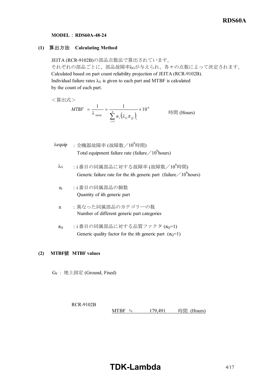#### **MODEL : RDS60A-48-24**

#### **(1)** 算出方法 **Calculating Method**

JEITA (RCR-9102B)の部品点数法で算出されています。 それぞれの部品ごとに、部品故障率λGが与えられ、各々の点数によって決定されます。 Calculated based on part count reliability projection of JEITA (RCR-9102B). Individual failure rates  $\lambda$ G is given to each part and MTBF is calculated by the count of each part.

<算出式>

$$
MTBF = \frac{1}{\lambda_{\text{equiv}}} = \frac{1}{\sum_{i=1}^{n} n_i (\lambda_{\text{G}} \pi_{\text{Q}})_i} \times 10^6
$$
 [Hours]

- $\lambda$ equip : 全機器故障率 (故障数/10<sup>6</sup>時間) Total equipment failure rate (failure  $\angle 10^6$ hours)
	- $\lambda_G$  :i番目の同属部品に対する故障率 (故障数/ $10^6$ 時間) Generic failure rate for the ith generic part (failure  $\big/ 10^6$ hours)
	- n<sup>i</sup> :i 番目の同属部品の個数 Quantity of ith generic part
	- n :異なった同属部品のカテゴリーの数 Number of different generic part categories
	- $π$ <sup>O</sup> :i番目の同属部品に対する品質ファクタ  $(π<sub>0</sub>=1)$ Generic quality factor for the ith generic part  $(\pi_0=1)$

#### **(2) MTBF**値 **MTBF values**

GF : 地上固定 (Ground, Fixed)

RCR-9102B MTBF ≒  $179,491$  時間 (Hours)

# **TDK-Lambda**  $4/17$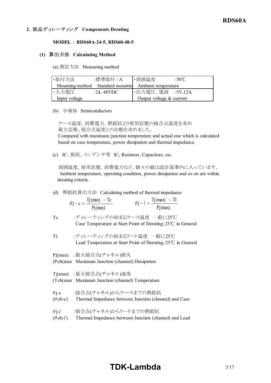#### **2**.部品ディレーティング **Components Derating**

#### **MODEL : RDS60A-24-5, RDS60-48-5**

#### **(1)** 算出方法 **Calculating Method**

(a) 測定方法 Measuring method

| ・取付方法         | :標準取付 : A                                            | ・周囲温度                    | :50 $\mathrm{C}$ |
|---------------|------------------------------------------------------|--------------------------|------------------|
|               | Mounting method Standard mountin Ambient temperature |                          |                  |
| ・入力電圧         | $:24,48$ VDC                                         | ・出力電圧、電流 :5V,12A         |                  |
| Input voltage |                                                      | Output voltage & current |                  |

(b) 半導体 Semiconductors

ケース温度、消費電力、熱抵抗より使用状態の接合点温度を求め 最大定格、接合点温度との比較を求めました。

 Compared with maximum junction temperature and actual one which is calculated based on case temperature, power dissipation and thermal impedance.

(c) IC、抵抗、コンデンサ等 IC, Resistors, Capacitors, etc.

 周囲温度、使用状態、消費電力など、個々の値は設計基準内に入っています。 Ambient temperature, operating condition, power dissipation and so on are within derating criteria.

(d) 熱抵抗算出方法 Calculating method of thermal impedance

| $\theta$ j – c = $\frac{Tj(max) - Tc}{}$ | $\theta$ j – $l = \frac{Tj(max) - Tl}{r}$ |
|------------------------------------------|-------------------------------------------|
| Pj(max)                                  | Pj(max)                                   |

- Tc :ディレーティングの始まるケース温度 一般に25℃ Case Temperature at Start Point of Derating;25℃ in General
- Tl :ディレーティングの始まるリード温度 一般に25℃ Lead Temperature at Start Point of Derating;25℃ in General

Pj(max) :最大接合点(チャネル)損失

(Pch(max)) Maximum Junction (channel) Dissipation

Tj(max) :最大接合点(チャネル)温度

- (Tch(max)) Maximum Junction (channel) Temperature
- *θ* j-c :接合点(チャネル)からケースまでの熱抵抗
- (*θ* ch-c) Thermal Impedance between Junction (channel) and Case
- *θ* j-*l* :接合点(チャネル)からリードまでの熱抵抗
- (*θ* ch-*l*) Thermal Impedance between Junction (channel) and Lead

# **TDK-Lambda** 5/17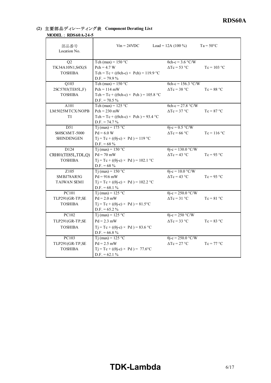#### **(2)** 主要部品ディレーティング表 **Component Derating List MODEL** : RDS60A-24-5

| $MUDEL$ ; $KDS0VA-24-5$ |                                                   |                            |                    |
|-------------------------|---------------------------------------------------|----------------------------|--------------------|
| 部品番号<br>Location No.    | $V_{in} = 24 VDC$                                 | Load = 12A $(100\%)$       | $Ta = 50^{\circ}C$ |
| Q2                      | Tch (max) = $150 °C$                              | $\theta$ ch-c = 3.6 °C/W   |                    |
| TK34A10N1, S4X(S        | $Pch = 4.7 W$                                     | $\Delta Tc = 53$ °C        | $Tc = 103 °C$      |
| <b>TOSHIBA</b>          | Tch = Tc + (( $\theta$ ch-c) × Pch) = 119.9 °C    |                            |                    |
|                         | $D.F. = 79.9 %$                                   |                            |                    |
| Q103                    | Tch (max) = $150 °C$                              | $\theta$ ch-c = 156.3 °C/W |                    |
| 2SC5703(TE85L,F)        | $Pch = 114$ mW                                    | $\Delta Tc = 38$ °C        | $Tc = 88 °C$       |
| <b>TOSHIBA</b>          | Tch = Tc + (( $\theta$ ch-c) × Pch) = 105.8 °C    |                            |                    |
|                         | $D.F. = 70.5 \%$                                  |                            |                    |
| A101                    | Tch (max) = $125 °C$                              | $\theta$ ch-c = 27.8 °C/W  |                    |
| LM5025MTCX/NOPB         | $Pch = 230$ mW                                    | $\Delta Tc = 37$ °C        | $Tc = 87 °C$       |
| TI                      | Tch = Tc + (( $\theta$ ch-c) × Pch) = 93.4 °C     |                            |                    |
|                         | $D.F. = 74.7 %$                                   |                            |                    |
| D51                     | $\overline{T}$ j (max) = 175 °C                   | $\theta$ j-c = 0.5 °C/W    |                    |
| S60SC6MT-5000           | $Pd = 6.0 W$                                      | $\Delta Tc = 66$ °C        | $Tc = 116$ °C      |
| <b>SHINDENGEN</b>       | $Tj = Tc + ((\theta j - c) \times Pd) = 119$ °C   |                            |                    |
|                         | D.F. = $68\%$                                     |                            |                    |
| D <sub>124</sub>        | $Ti$ (max) = 150 °C                               | $\theta$ j-c = 130.0 °C/W  |                    |
| CRH01(TE85L,TDL,Q)      | $Pd = 70$ mW                                      | $\Delta Tc = 43$ °C        | $T_c = 93 °C$      |
| <b>TOSHIBA</b>          | $Tj = Tc + ((\theta j - c) \times Pd) = 102.1$ °C |                            |                    |
|                         | $D.F. = 68 \%$                                    |                            |                    |
| Z105                    | $Tj$ (max) = 150 °C                               | $\theta$ j-c = 10.0 °C/W   |                    |
| SMBJ78AR5G              | $Pd = 916$ mW                                     | $\Delta Tc = 43$ °C        | $Tc = 93$ °C       |
| <b>TAIWAN SEMI</b>      | $Tj = Tc + ((\theta j - c) \times Pd) = 102.2$ °C |                            |                    |
|                         | $D.F. = 68.1 %$                                   |                            |                    |
| PC101                   | Tj (max) = $125 °C$                               | $\theta$ j-c = 250.0 °C/W  |                    |
| TLP291(GR-TP,SE         | $Pd = 2.0$ mW                                     | $\Delta Tc = 31$ °C        | $Tc = 81 °C$       |
| <b>TOSHIBA</b>          | $Tj = Tc + ((\theta j - c) \times Pd) = 81.5$ °C  |                            |                    |
|                         | $D.F. = 65.2 \%$                                  |                            |                    |
| PC102                   | T <sub>j</sub> (max) = $125$ °C                   | $\theta$ j-c = 250 °C/W    |                    |
| TLP291(GR-TP,SE         | $Pd = 2.3$ mW                                     | $\Delta Tc = 33$ °C        | $T_c = 83 °C$      |
| <b>TOSHIBA</b>          | $Tj = Tc + ((\theta j - c) \times Pd) = 83.6$ °C  |                            |                    |
|                         | D.F. = $66.8\%$                                   |                            |                    |
| PC103                   | $\overline{T}$ j (max) = 125 °C                   | $\theta$ j-c = 250.0 °C/W  |                    |
| TLP291(GR-TP,SE         | $Pd = 2.5$ mW                                     | $\Delta Tc = 27$ °C        | $Tc = 77 °C$       |
| <b>TOSHIBA</b>          | $Tj = Tc + ((\theta j - c) \times Pd) = 77.6$ °C  |                            |                    |
|                         | $D.F. = 62.1 \%$                                  |                            |                    |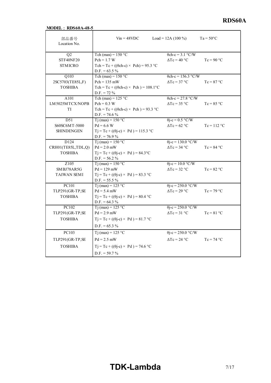# **MODEL** : RDS60A-48-5

| <b>MODEL : RDS60A-48-5</b>        |                                                                   |                            |                    |
|-----------------------------------|-------------------------------------------------------------------|----------------------------|--------------------|
| 部品番号<br>Location No.              | $V_{\text{in}} = 48 \text{VDC}$                                   | Load = 12A $(100\%)$       | $Ta = 50^{\circ}C$ |
| Q <sub>2</sub>                    | Tch (max) = $150 °C$                                              | $\theta$ ch-c = 3.1 °C/W   |                    |
| STF40NF20                         | $Pch = 1.7 W$                                                     | $\Delta Tc = 40$ °C        | $Tc = 90 °C$       |
| <b>STMICRO</b>                    | $Tch = Tc + ((\theta ch-c) \times Pch) = 95.3$ °C                 |                            |                    |
|                                   | $D.F. = 63.5 \%$                                                  |                            |                    |
| Q103                              | Tch (max) = $150 °C$                                              | $\theta$ ch-c = 156.3 °C/W |                    |
| 2SC5703(TE85L,F)                  | $Pch = 135$ mW                                                    | $\Delta Tc = 37$ °C        | $Tc = 87 °C$       |
| <b>TOSHIBA</b>                    | $Tch = Tc + ((\theta ch-c) \times Pch) = 108.1$ °C                |                            |                    |
|                                   | $D.F. = 72 \%$                                                    |                            |                    |
| A101                              | Tch (max) = $125 °C$                                              | $\theta$ ch-c = 27.8 °C/W  |                    |
| LM5025MTCX/NOPB                   | $Pch = 0.3 W$                                                     | $\Delta Tc = 35$ °C        | $Tc = 85 °C$       |
| <b>TI</b>                         | Tch = Tc + (( $\theta$ ch-c) × Pch) = 93.3 °C                     |                            |                    |
|                                   | $D.F. = 74.6 %$                                                   |                            |                    |
| D51                               | $Ti$ (max) = 150 °C                                               | $\theta$ j-c = 0.5 °C/W    |                    |
| S60SC6MT-5000                     | $Pd = 6.6 W$                                                      | $\Delta Tc = 62$ °C        | $Tc = 112 °C$      |
| <b>SHINDENGEN</b>                 | $Tj = Tc + ((\theta j - c) \times Pd) = 115.3$ °C                 |                            |                    |
|                                   | $D.F. = 76.9 \%$                                                  |                            |                    |
| D124                              | $Ti$ (max) = 150 °C                                               | $\theta$ j-c = 130.0 °C/W  |                    |
| CRH01(TE85L,TDL,Q)                | $Pd = 2.0$ mW                                                     | $\Delta Tc = 34$ °C        | $Tc = 84 °C$       |
| <b>TOSHIBA</b>                    | $Tj = Tc + ((\theta j - c) \times Pd) = 84.3$ °C                  |                            |                    |
|                                   | $D.F. = 56.2 \%$                                                  |                            |                    |
| Z <sub>105</sub>                  | $\overline{T}$ j (max) = 150 °C                                   | $\theta$ j-c = 10.0 °C/W   |                    |
| SMBJ78AR5G                        | $Pd = 129$ mW                                                     | $\Delta Tc = 32 \degree C$ | $Tc = 82 °C$       |
| <b>TAIWAN SEMI</b>                | $Tj = Tc + ((\theta j - c) \times Pd) = 83.3$ °C                  |                            |                    |
| PC101                             | $D.F. = 55.5 \%$                                                  |                            |                    |
|                                   | $Ti$ (max) = 125 °C                                               | $\theta$ j-c = 250.0 °C/W  |                    |
| TLP291(GR-TP,SE<br><b>TOSHIBA</b> | $Pd = 5.4$ mW<br>$Tj = Tc + ((\theta j - c) \times Pd) = 80.4$ °C | $\Delta Tc = 29$ °C        | $Tc = 79 °C$       |
|                                   | $D.F. = 64.3 %$                                                   |                            |                    |
| PC102                             | $Ti$ (max) = 125 °C                                               | $\theta$ j-c = 250.0 °C/W  |                    |
| TLP291(GR-TP,SE                   | $Pd = 2.9$ mW                                                     | $\Delta Tc = 31$ °C        | $Tc = 81 °C$       |
| <b>TOSHIBA</b>                    | $Tj = Tc + ((\theta j - c) \times Pd) = 81.7$ °C                  |                            |                    |
|                                   |                                                                   |                            |                    |
|                                   | $D.F. = 65.3 \%$                                                  |                            |                    |
| PC103                             | T <sub>j</sub> (max) = 125 °C                                     | $\theta$ j-c = 250.0 °C/W  |                    |
|                                   | $Pd = 2.5$ mW                                                     | $\Delta Tc = 24$ °C        | $Tc = 74 °C$       |
| TLP291(GR-TP,SE                   |                                                                   |                            |                    |
| <b>TOSHIBA</b>                    | $Tj = Tc + ((\theta j - c) \times Pd) = 74.6$ °C                  |                            |                    |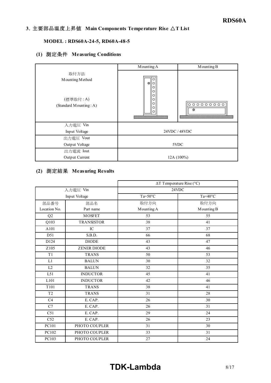#### **3**.主要部品温度上昇値 **Main Components Temperature Rise** △**T List**

#### **MODEL : RDS60A-24-5, RD60A-48-5**

#### **(1)** 測定条件 **Measuring Conditions**

|                                                               | Mounting A                                               | Mounting B        |  |  |  |
|---------------------------------------------------------------|----------------------------------------------------------|-------------------|--|--|--|
| 取付方法<br>Mounting Method<br>(標準取付:A)<br>(Standard Mounting: A) | Ο<br>$\bigcirc$<br>IΟ<br>C<br>О<br>О<br>Ω<br>О<br>O<br>О | $0000000000$<br>⊕ |  |  |  |
| 入力電圧 Vin                                                      |                                                          |                   |  |  |  |
| Input Voltage                                                 |                                                          | 24VDC / 48VDC     |  |  |  |
| 出力電圧 Vout                                                     |                                                          |                   |  |  |  |
| Output Voltage                                                | 5VDC                                                     |                   |  |  |  |
| 出力電流 Iout                                                     |                                                          |                   |  |  |  |
| Output Current                                                |                                                          | 12A (100%)        |  |  |  |

#### **(2)** 測定結果 **Measuring Results**

|                  |                    | $\Delta T$ Temperature Rise (°C) |                  |  |  |  |  |  |
|------------------|--------------------|----------------------------------|------------------|--|--|--|--|--|
|                  | 入力電圧 Vin           | 24VDC                            |                  |  |  |  |  |  |
|                  | Input Voltage      | $Ta=50^{\circ}C$                 | $Ta=40^{\circ}C$ |  |  |  |  |  |
| 部品番号             | 部品名                | 取付方向                             | 取付方向             |  |  |  |  |  |
| Location No.     | Part name          | Mounting A                       | Mounting B       |  |  |  |  |  |
| Q2               | <b>MOSFET</b>      | 53                               | 55               |  |  |  |  |  |
| Q103             | <b>TRANSISTOR</b>  | 38                               | 41               |  |  |  |  |  |
| A101             | IC                 | 37                               | 37               |  |  |  |  |  |
| D51              | S.B.D.             | 66                               | 68               |  |  |  |  |  |
| D124             | <b>DIODE</b>       | 43                               | 47               |  |  |  |  |  |
| Z105             | <b>ZENER DIODE</b> | 43                               | 46               |  |  |  |  |  |
| T1               | <b>TRANS</b>       | 50                               |                  |  |  |  |  |  |
| L1               | <b>BALUN</b>       | 30                               | 32               |  |  |  |  |  |
| L2               | <b>BALUN</b>       | 32                               | 35               |  |  |  |  |  |
| L51              | <b>INDUCTOR</b>    | 45                               | 41               |  |  |  |  |  |
| L101             | <b>INDUCTOR</b>    | 42                               | 46               |  |  |  |  |  |
| T <sub>101</sub> | <b>TRANS</b>       | 38                               | 41               |  |  |  |  |  |
| T <sub>2</sub>   | <b>TRANS</b>       | 31                               | 28               |  |  |  |  |  |
| C4               | E. CAP.            | 26                               | 30               |  |  |  |  |  |
| C7               | E. CAP.            | 26                               | 31               |  |  |  |  |  |
| C51              | E. CAP.            | 29                               | 24               |  |  |  |  |  |
| C52              | E. CAP.            | 26                               | 23               |  |  |  |  |  |
| PC101            | PHOTO COUPLER      | 31                               | 30               |  |  |  |  |  |
| PC102            | PHOTO COUPLER      | 33                               | 31               |  |  |  |  |  |
| PC103            | PHOTO COUPLER      | 27                               | 24               |  |  |  |  |  |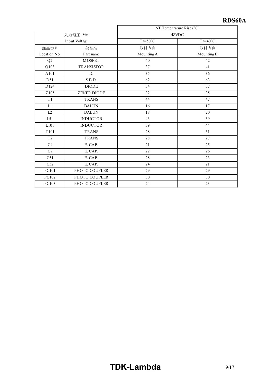|                  |                    | ∆T Temperature Rise (°C) |                  |  |  |  |  |  |  |
|------------------|--------------------|--------------------------|------------------|--|--|--|--|--|--|
|                  | 入力電圧 Vin           | 48VDC                    |                  |  |  |  |  |  |  |
|                  | Input Voltage      | $Ta=50^{\circ}C$         | $Ta=40^{\circ}C$ |  |  |  |  |  |  |
| 部品番号             | 部品名                | 取付方向                     | 取付方向             |  |  |  |  |  |  |
| Location No.     | Part name          | Mounting A               | Mounting B       |  |  |  |  |  |  |
| Q2               | <b>MOSFET</b>      | 40                       | 42               |  |  |  |  |  |  |
| Q103             | <b>TRANSISTOR</b>  | 37                       | 41               |  |  |  |  |  |  |
| A101             | $_{\rm IC}$        | 35                       | 36               |  |  |  |  |  |  |
| D51              | S.B.D.             | 62                       | 63               |  |  |  |  |  |  |
| D124             | <b>DIODE</b>       | 34                       | 37               |  |  |  |  |  |  |
| Z105             | <b>ZENER DIODE</b> | 32                       | 35               |  |  |  |  |  |  |
| T1               | <b>TRANS</b>       | 47<br>44                 |                  |  |  |  |  |  |  |
| L1               | <b>BALUN</b>       | 16<br>17                 |                  |  |  |  |  |  |  |
| L2               | <b>BALUN</b>       | 18                       | 20               |  |  |  |  |  |  |
| L51              | <b>INDUCTOR</b>    | 43                       | 39               |  |  |  |  |  |  |
| L101             | <b>INDUCTOR</b>    | 39                       | 44               |  |  |  |  |  |  |
| T <sub>101</sub> | <b>TRANS</b>       | 28                       | 31               |  |  |  |  |  |  |
| T <sub>2</sub>   | <b>TRANS</b>       | 28                       | 27               |  |  |  |  |  |  |
| C4               | E. CAP.            | 21                       | 25               |  |  |  |  |  |  |
| C7               | E. CAP.            | 22                       | 26               |  |  |  |  |  |  |
| C51              | E. CAP.            | 28                       | 23               |  |  |  |  |  |  |
| C <sub>52</sub>  | E. CAP.            | 24                       | 21               |  |  |  |  |  |  |
| PC101            | PHOTO COUPLER      | 29                       | 29               |  |  |  |  |  |  |
| PC102            | PHOTO COUPLER      | 30                       | 30               |  |  |  |  |  |  |
| PC103            | PHOTO COUPLER      | 24                       | 23               |  |  |  |  |  |  |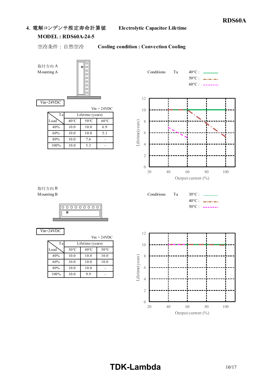#### **4**.電解コンデンサ推定寿命計算値 **Electrolytic Capacitor Lifetime**

#### **MODEL: RDS60A-24-5**

Ta

#### 空冷条件 : 自然空冷 **Cooling condition : Convection Cooling**

取付方向 A

Vin=24VDC



Lifetime (years)

 $\log \sim 40^{\circ}$ C 50°C 60°C 40% 10.0 10.0 6.9 60% 10.0 10.0 5.1 80% 10.0 7.6 - 100% 10.0 5.3 -

 $V_{in} = 24 VDC$ 

Mounting A Conditions Ta 40°C :  $50^{\circ}$ C : \_\_\_\_\_\_\_  $60^{\circ}$ C : ------12 10 Lifetime(years) 8 Lifetime(years) 6 4 2 0 20 40 60 80 100

Output current (%)

 $40^{\circ}$ C : \_\_\_\_\_\_

取付方向 B Mounting B Conditions Ta 30°C : \_



Vin=24VDC

|      | $V_{\text{in}} = 24 \text{VDC}$ |                |                |  |  |  |  |  |  |  |  |  |
|------|---------------------------------|----------------|----------------|--|--|--|--|--|--|--|--|--|
| Tal  | Lifetime (years)                |                |                |  |  |  |  |  |  |  |  |  |
| Load | $30^{\circ}$ C                  | $40^{\circ}$ C | $50^{\circ}$ C |  |  |  |  |  |  |  |  |  |
| 40%  | 10.0                            | 10.0           | 10.0           |  |  |  |  |  |  |  |  |  |
| 60%  | 10.0                            | 10.0           | 10.0           |  |  |  |  |  |  |  |  |  |
| 80%  | 10.0                            | 10.0           |                |  |  |  |  |  |  |  |  |  |
| 100% | 10.0                            | 9.9            |                |  |  |  |  |  |  |  |  |  |



20 40 60 80 100

 $\theta$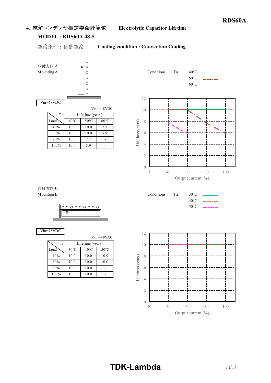#### **4**.電解コンデンサ推定寿命計算値 **Electrolytic Capacitor Lifetime**

#### **MODEL: RDS60A-48-5**

Ta

#### 空冷条件 : 自然空冷 **Cooling condition : Convection Cooling**

取付方向 A

Vin=48VDC



Lifetime (years)

Load  $40^{\circ}$ C 50°C 60°C 40% 10.0 10.0 7.7 60% 10.0 10.0 5.9 80% 10.0 7.7 - 100% 10.0 5.9 -

 $V_{in} = 48 VDC$ 

Mounting A Conditions Ta 40°C :  $50^{\circ}$ C :  $\frac{1}{2}$  :  $\frac{1}{2}$  :  $\frac{1}{2}$  :  $\frac{1}{2}$  :  $\frac{1}{2}$  :  $\frac{1}{2}$  :  $\frac{1}{2}$  :  $\frac{1}{2}$  :  $\frac{1}{2}$  :  $\frac{1}{2}$  :  $\frac{1}{2}$  :  $\frac{1}{2}$  :  $\frac{1}{2}$  :  $\frac{1}{2}$  :  $\frac{1}{2}$  :  $\frac{1}{2}$  :  $\frac{1}{2}$  :  $\frac{1$  $60^{\circ}$ C : ------12 10 Lifetime(years) 8 Lifetime(years) 6 4 2 0 20 40 60 80 100

Output current (%)

 $40^{\circ}$ C : \_\_\_\_\_\_  $50^{\circ}$ C : ------

取付方向 B Mounting B Conditions Ta 30°C : \_

|  |  | $0 0 0 0 0 0 0 0$ |  |  |
|--|--|-------------------|--|--|
|  |  |                   |  |  |
|  |  |                   |  |  |

Vin=48VDC

|      | $V_{in} = 48$ VAC |                |                |  |  |  |  |  |  |  |  |  |
|------|-------------------|----------------|----------------|--|--|--|--|--|--|--|--|--|
| T a  | Lifetime (years)  |                |                |  |  |  |  |  |  |  |  |  |
| Load | $30^{\circ}$ C    | $40^{\circ}$ C | $50^{\circ}$ C |  |  |  |  |  |  |  |  |  |
| 40%  | 10.0              | 10.0           | 10.0           |  |  |  |  |  |  |  |  |  |
| 60%  | 10.0              | 10.0           | 10.0           |  |  |  |  |  |  |  |  |  |
| 80%  | 10.0              | 10.0           |                |  |  |  |  |  |  |  |  |  |
| 100% | 10.0              | 10.0           |                |  |  |  |  |  |  |  |  |  |





# **TDK-Lambda** 11/17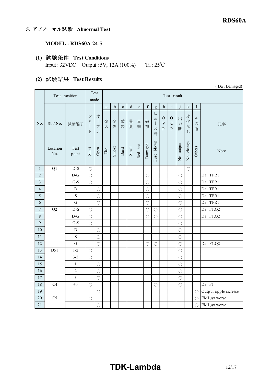### **5**.アブノーマル試験 **Abnormal Test**

#### **MODEL : RDS60A-24-5**

#### **(1)** 試験条件 **Test Conditions**

Input : 32VDC Output : 5V, 12A (100%) Ta : 25℃

## **(2)** 試験結果 **Test Results**

|                         | (Da: Damaged)   |                |                                             |                                                                             |                       |             |             |         |         |             |                                                                                                                                                                                                                                                                                                                                                                                                                                |                                              |                                                |              |                                       |                     |                        |
|-------------------------|-----------------|----------------|---------------------------------------------|-----------------------------------------------------------------------------|-----------------------|-------------|-------------|---------|---------|-------------|--------------------------------------------------------------------------------------------------------------------------------------------------------------------------------------------------------------------------------------------------------------------------------------------------------------------------------------------------------------------------------------------------------------------------------|----------------------------------------------|------------------------------------------------|--------------|---------------------------------------|---------------------|------------------------|
|                         |                 | Test position  |                                             | Test<br>mode                                                                |                       |             |             |         |         |             |                                                                                                                                                                                                                                                                                                                                                                                                                                |                                              | Test result                                    |              |                                       |                     |                        |
|                         |                 |                |                                             |                                                                             | a                     | $\mathbf b$ | $\mathbf c$ | $\rm d$ | $\rm e$ | $\mathbf f$ | $\mathbf{g}% _{T}=\mathbf{g}_{T}=\mathbf{g}_{T}=\mathbf{g}_{T}=\mathbf{g}_{T}=\mathbf{g}_{T}=\mathbf{g}_{T}=\mathbf{g}_{T}=\mathbf{g}_{T}=\mathbf{g}_{T}=\mathbf{g}_{T}=\mathbf{g}_{T}=\mathbf{g}_{T}=\mathbf{g}_{T}=\mathbf{g}_{T}=\mathbf{g}_{T}=\mathbf{g}_{T}=\mathbf{g}_{T}=\mathbf{g}_{T}=\mathbf{g}_{T}=\mathbf{g}_{T}=\mathbf{g}_{T}=\mathbf{g}_{T}=\mathbf{g}_{T}=\mathbf{g}_{T}=\mathbf{g}_{T}=\mathbf{g}_{T}=\math$ | $\mathbf h$                                  | $\rm i$                                        | $\mathbf{j}$ | $\mathbf k$                           | $\mathbf{1}$        |                        |
| No.                     | 部品No.           | 試験端子           | $\ddot{\checkmark}$<br>$\equiv$<br>$\vdash$ | 才<br>$\begin{array}{c} \hline \end{array}$<br>$\mathcal{I}$<br>$\mathcal V$ | 発<br>火                | 発<br>煙      | 破<br>裂      | 異<br>臭  | 赤<br>熱  | 破<br>損      | ヒ<br>$\mathfrak{a}$<br>$\mathbf{I}$<br>ズ<br>断                                                                                                                                                                                                                                                                                                                                                                                  | $\mathcal{O}$<br>$\mathbf V$<br>$\mathbf{P}$ | $\mathcal{O}$<br>$\mathbf C$<br>$\overline{P}$ | 出<br>力<br>断  | 変<br>化<br>$\vec{z}$<br>$\overline{L}$ | そ<br>$\varphi$<br>他 | 記事                     |
|                         | Location<br>No. | Test<br>point  | Short                                       | Open                                                                        | $\operatorname{Fire}$ | Smoke       | Burst       | Smell   | Red hot | Damaged     | Fuse blown                                                                                                                                                                                                                                                                                                                                                                                                                     |                                              |                                                | No output    | No change                             | Others              | Note                   |
| 1                       | Q1              | $D-S$          | $\bigcirc$                                  |                                                                             |                       |             |             |         |         |             |                                                                                                                                                                                                                                                                                                                                                                                                                                |                                              |                                                |              | $\bigcirc$                            |                     |                        |
| $\sqrt{2}$              |                 | $D-G$          | $\bigcirc$                                  |                                                                             |                       |             |             |         |         | $\bigcirc$  |                                                                                                                                                                                                                                                                                                                                                                                                                                |                                              |                                                | $\bigcirc$   |                                       |                     | Da: TFR1               |
| $\overline{\mathbf{3}}$ |                 | $G-S$          | $\bigcirc$                                  |                                                                             |                       |             |             |         |         | O           |                                                                                                                                                                                                                                                                                                                                                                                                                                |                                              |                                                | O            |                                       |                     | Da: TFR1               |
| $\overline{4}$          |                 | ${\rm D}$      |                                             | $\bigcirc$                                                                  |                       |             |             |         |         | $\bigcirc$  |                                                                                                                                                                                                                                                                                                                                                                                                                                |                                              |                                                | $\bigcirc$   |                                       |                     | Da: TFR1               |
| 5                       |                 | $\mathbf S$    |                                             | $\bigcirc$                                                                  |                       |             |             |         |         | $\bigcirc$  |                                                                                                                                                                                                                                                                                                                                                                                                                                |                                              |                                                | $\bigcirc$   |                                       |                     | Da: TFR1               |
| 6                       |                 | $\mathbf G$    |                                             | $\bigcirc$                                                                  |                       |             |             |         |         | $\bigcirc$  |                                                                                                                                                                                                                                                                                                                                                                                                                                |                                              |                                                | $\bigcirc$   |                                       |                     | Da:TFR1                |
| $\boldsymbol{7}$        | Q2              | $D-S$          | $\bigcirc$                                  |                                                                             |                       |             |             |         |         | $\bigcirc$  | $\bigcirc$                                                                                                                                                                                                                                                                                                                                                                                                                     |                                              |                                                | $\bigcirc$   |                                       |                     | Da: F1, Q2             |
| $\boldsymbol{8}$        |                 | $D-G$          | $\bigcirc$                                  |                                                                             |                       |             |             |         |         | $\bigcirc$  | $\bigcirc$                                                                                                                                                                                                                                                                                                                                                                                                                     |                                              |                                                | $\bigcirc$   |                                       |                     | Da: F1, Q2             |
| $\overline{9}$          |                 | $G-S$          | $\bigcirc$                                  |                                                                             |                       |             |             |         |         |             |                                                                                                                                                                                                                                                                                                                                                                                                                                |                                              |                                                | $\bigcirc$   |                                       |                     |                        |
| 10                      |                 | $\mathbf D$    |                                             | $\bigcirc$                                                                  |                       |             |             |         |         |             |                                                                                                                                                                                                                                                                                                                                                                                                                                |                                              |                                                | $\bigcirc$   |                                       |                     |                        |
| 11                      |                 | $\mathbf S$    |                                             | $\bigcirc$                                                                  |                       |             |             |         |         |             |                                                                                                                                                                                                                                                                                                                                                                                                                                |                                              |                                                | $\bigcirc$   |                                       |                     |                        |
| 12                      |                 | ${\bf G}$      |                                             | $\bigcirc$                                                                  |                       |             |             |         |         | $\bigcirc$  | ◯                                                                                                                                                                                                                                                                                                                                                                                                                              |                                              |                                                | $\bigcirc$   |                                       |                     | Da: F1, Q2             |
| 13                      | D51             | $1-2$          | $\bigcirc$                                  |                                                                             |                       |             |             |         |         |             |                                                                                                                                                                                                                                                                                                                                                                                                                                |                                              |                                                | $\bigcirc$   |                                       |                     |                        |
| 14                      |                 | $3 - 2$        | $\bigcirc$                                  |                                                                             |                       |             |             |         |         |             |                                                                                                                                                                                                                                                                                                                                                                                                                                |                                              |                                                | $\bigcirc$   |                                       |                     |                        |
| 15                      |                 | $\,1\,$        |                                             | $\bigcirc$                                                                  |                       |             |             |         |         |             |                                                                                                                                                                                                                                                                                                                                                                                                                                |                                              |                                                | $\bigcirc$   |                                       |                     |                        |
| 16                      |                 | $\overline{2}$ |                                             | $\bigcirc$                                                                  |                       |             |             |         |         |             |                                                                                                                                                                                                                                                                                                                                                                                                                                |                                              |                                                | $\bigcirc$   |                                       |                     |                        |
| 17                      |                 | $\overline{3}$ |                                             | $\bigcirc$                                                                  |                       |             |             |         |         |             |                                                                                                                                                                                                                                                                                                                                                                                                                                |                                              |                                                | $\bigcirc$   |                                       |                     |                        |
| 18                      | C4              | $+,-$          | $\bigcirc$                                  |                                                                             |                       |             |             |         |         |             | $\bigcirc$                                                                                                                                                                                                                                                                                                                                                                                                                     |                                              |                                                | $\bigcirc$   |                                       |                     | Da: F1                 |
| 19                      |                 |                |                                             | ◯                                                                           |                       |             |             |         |         |             |                                                                                                                                                                                                                                                                                                                                                                                                                                |                                              |                                                |              |                                       | $\bigcirc$          | Output ripple increase |
| $20\,$                  | C <sub>5</sub>  |                | $\bigcirc$                                  |                                                                             |                       |             |             |         |         |             |                                                                                                                                                                                                                                                                                                                                                                                                                                |                                              |                                                |              |                                       | $\bigcirc$          | EMI get worse          |
| 21                      |                 |                |                                             | $\bigcirc$                                                                  |                       |             |             |         |         |             |                                                                                                                                                                                                                                                                                                                                                                                                                                |                                              |                                                |              |                                       |                     | ○ EMI get worse        |

# **TDK-Lambda** 12/17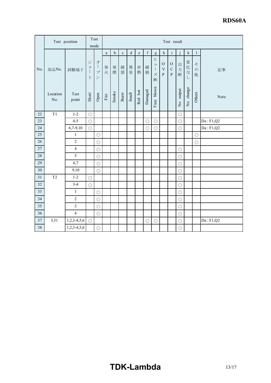|        | Test position   |                |                                                                 | Test<br>mode                                        | Test result           |         |             |         |              |             |                                                                                                                                                                                                                                                                                                                                                                                                                                |                                                          |                                              |             |                          |                         |            |
|--------|-----------------|----------------|-----------------------------------------------------------------|-----------------------------------------------------|-----------------------|---------|-------------|---------|--------------|-------------|--------------------------------------------------------------------------------------------------------------------------------------------------------------------------------------------------------------------------------------------------------------------------------------------------------------------------------------------------------------------------------------------------------------------------------|----------------------------------------------------------|----------------------------------------------|-------------|--------------------------|-------------------------|------------|
|        |                 |                |                                                                 |                                                     | $\mathbf{a}$          | $\rm b$ | $\mathbf c$ | $\rm d$ | $\mathbf{e}$ | $\mathbf f$ | $\mathbf{g}% _{T}=\mathbf{g}_{T}=\mathbf{g}_{T}=\mathbf{g}_{T}=\mathbf{g}_{T}=\mathbf{g}_{T}=\mathbf{g}_{T}=\mathbf{g}_{T}=\mathbf{g}_{T}=\mathbf{g}_{T}=\mathbf{g}_{T}=\mathbf{g}_{T}=\mathbf{g}_{T}=\mathbf{g}_{T}=\mathbf{g}_{T}=\mathbf{g}_{T}=\mathbf{g}_{T}=\mathbf{g}_{T}=\mathbf{g}_{T}=\mathbf{g}_{T}=\mathbf{g}_{T}=\mathbf{g}_{T}=\mathbf{g}_{T}=\mathbf{g}_{T}=\mathbf{g}_{T}=\mathbf{g}_{T}=\mathbf{g}_{T}=\math$ | $\,h$                                                    | $\mathbf{i}$                                 |             | $\mathbf k$              | $\mathbf{1}$            |            |
| No.    | 部品No.           | 試験端子           | $\ddot{\checkmark}$<br>$\equiv$<br>$\mathbf{I}$<br>$\mathbb{H}$ | 才<br>$\frac{1}{2}$<br>$\mathcal{I}$<br>$\mathcal V$ | 発<br>火                | 発<br>煙  | 破<br>裂      | 異<br>臭  | 赤<br>熱       | 破<br>損      | ヒ<br>$\ensuremath{\mathrel{\mathop{\mathbf{I}}}}$<br>$\mathbf{I}$<br>ズ<br>断                                                                                                                                                                                                                                                                                                                                                    | $\mathcal{O}$<br>$\overline{\mathrm{V}}$<br>$\mathbf{P}$ | $\mathcal{O}$<br>$\mathbf C$<br>$\mathbf{P}$ | 出<br>力<br>断 | 変<br>化<br>$\vec{z}$<br>U | z<br>$\mathcal{D}$<br>他 | 記事         |
|        | Location<br>No. | Test<br>point  | Short                                                           | ${\bf Open}$                                        | $\operatorname{Fire}$ | Smoke   | Burst       | Smell   | Red hot      | Damaged     | Fuse blown                                                                                                                                                                                                                                                                                                                                                                                                                     |                                                          |                                              | No output   | change<br>$\frac{1}{2}$  | Others                  | Note       |
| 22     | T1              | $1 - 2$        | $\bigcirc$                                                      |                                                     |                       |         |             |         |              |             |                                                                                                                                                                                                                                                                                                                                                                                                                                |                                                          |                                              | $\bigcirc$  |                          |                         |            |
| 23     |                 | $4 - 5$        | $\bigcirc$                                                      |                                                     |                       |         |             |         |              | $\bigcirc$  | $\bigcirc$                                                                                                                                                                                                                                                                                                                                                                                                                     |                                                          |                                              | $\bigcirc$  |                          |                         | Da: F1, Q2 |
| 24     |                 | $6,7-9,10$     | $\bigcirc$                                                      |                                                     |                       |         |             |         |              | $\bigcirc$  | $\bigcirc$                                                                                                                                                                                                                                                                                                                                                                                                                     |                                                          |                                              | $\bigcirc$  |                          |                         | Da: F1, Q2 |
| 25     |                 | $\mathbf{1}$   |                                                                 | $\bigcirc$                                          |                       |         |             |         |              |             |                                                                                                                                                                                                                                                                                                                                                                                                                                |                                                          |                                              |             |                          | $\bigcirc$              |            |
| 26     |                 | $\overline{2}$ |                                                                 | $\bigcirc$                                          |                       |         |             |         |              |             |                                                                                                                                                                                                                                                                                                                                                                                                                                |                                                          |                                              |             |                          | $\bigcirc$              |            |
| 27     |                 | $\overline{4}$ |                                                                 | ∩                                                   |                       |         |             |         |              |             |                                                                                                                                                                                                                                                                                                                                                                                                                                |                                                          |                                              | $\bigcirc$  |                          |                         |            |
| $28\,$ |                 | 5              |                                                                 | О                                                   |                       |         |             |         |              |             |                                                                                                                                                                                                                                                                                                                                                                                                                                |                                                          |                                              | $\bigcirc$  |                          |                         |            |
| 29     |                 | 6,7            |                                                                 | $\bigcirc$                                          |                       |         |             |         |              |             |                                                                                                                                                                                                                                                                                                                                                                                                                                |                                                          |                                              | $\bigcirc$  |                          |                         |            |
| 30     |                 | 9,10           |                                                                 | $\bigcirc$                                          |                       |         |             |         |              |             |                                                                                                                                                                                                                                                                                                                                                                                                                                |                                                          |                                              | $\bigcirc$  |                          |                         |            |
| 31     | T <sub>2</sub>  | $1 - 2$        | $\bigcirc$                                                      |                                                     |                       |         |             |         |              |             |                                                                                                                                                                                                                                                                                                                                                                                                                                |                                                          |                                              | $\bigcirc$  |                          |                         |            |
| 32     |                 | $3-4$          | $\bigcirc$                                                      |                                                     |                       |         |             |         |              |             |                                                                                                                                                                                                                                                                                                                                                                                                                                |                                                          |                                              | $\bigcirc$  |                          |                         |            |
| 33     |                 | $\mathbf{1}$   |                                                                 | $\bigcirc$                                          |                       |         |             |         |              |             |                                                                                                                                                                                                                                                                                                                                                                                                                                |                                                          |                                              | $\bigcirc$  |                          |                         |            |
| 34     |                 | $\overline{2}$ |                                                                 | $\bigcirc$                                          |                       |         |             |         |              |             |                                                                                                                                                                                                                                                                                                                                                                                                                                |                                                          |                                              | $\bigcirc$  |                          |                         |            |
| 35     |                 | $\overline{3}$ |                                                                 | $\bigcirc$                                          |                       |         |             |         |              |             |                                                                                                                                                                                                                                                                                                                                                                                                                                |                                                          |                                              | $\bigcirc$  |                          |                         |            |
| 36     |                 | $\overline{4}$ |                                                                 | $\bigcirc$                                          |                       |         |             |         |              |             |                                                                                                                                                                                                                                                                                                                                                                                                                                |                                                          |                                              | $\bigcirc$  |                          |                         |            |
| 37     | L51             | $1,2,3-4,5,6$  | $\bigcirc$                                                      |                                                     |                       |         |             |         |              | $\bigcirc$  | $\bigcirc$                                                                                                                                                                                                                                                                                                                                                                                                                     |                                                          |                                              | $\bigcirc$  |                          |                         | Da: F1, Q2 |
| 38     |                 | $1,2,3-4,5,6$  |                                                                 | $\bigcirc$                                          |                       |         |             |         |              |             |                                                                                                                                                                                                                                                                                                                                                                                                                                |                                                          |                                              | О           |                          |                         |            |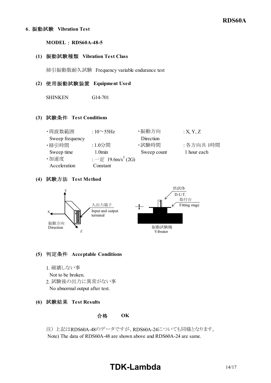#### **6**.振動試験 **Vibration Test**

#### **MODEL** : RDS60A-48-5

#### **(1)** 振動試験種類 **Vibration Test Class**

掃引振動数耐久試験 Frequency variable endurance test

#### **(2)** 使用振動試験装置 **Equipment Used**

SHINKEN G14-701

#### **(3)** 試験条件 **Test Conditions**

| ・周波数範囲          | : $10 \sim 55$ Hz                        | ・振動方向       | :X, Y, Z    |
|-----------------|------------------------------------------|-------------|-------------|
| Sweep frequency |                                          | Direction   |             |
| ・掃引時間           | :1.0分間                                   | ・試験時間       | :各方向共1時間    |
| Sweep time      | 1.0 <sub>min</sub>                       | Sweep count | 1 hour each |
| ・加速度            | : $-\bar{\pi}$ 19.6m/s <sup>2</sup> (2G) |             |             |
| Acceleration    | Constant                                 |             |             |

#### **(4)** 試験方法 **Test Method**



#### **(5)** 判定条件 **Acceptable Conditions**

- 1. 破壊しない事
- Not to be broken.
- 2. 試験後の出力に異常がない事
	- No abnormal output after test.
- **(6)** 試験結果 **Test Results**

合格 **OK**

注) 上記はRDS60A-48のデータですが、RDS60A-24についても同様となります。 Note) The data of RDS60A-48 are shown above and RDS60A-24 are same.

# **TDK-Lambda** 14/17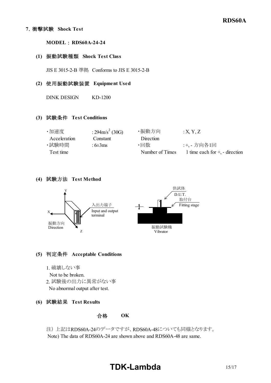#### **7**.衝擊試験 **Shock Test**

**MODEL** : RDS60A-24-24

#### **(1)** 振動試験種類 **Shock Test Class**

JIS E 3015-2-B 準拠 Conforms to JIS E 3015-2-B

#### **(2)** 使用振動試験装置 **Equipment Used**

DINK DESIGN KD-1200

#### **(3)** 試験条件 **Test Conditions**

| ・加速度         | : $294 \text{m/s}^2$ (30G) | ・振動方向           | X, Y, Z                             |
|--------------|----------------------------|-----------------|-------------------------------------|
| Acceleration | Constant                   | Direction       |                                     |
| ・試験時間        | : $6\pm3ms$                | ・回数             | :+、- 方向各1回                          |
| Test time    |                            | Number of Times | 1 time each for $+$ , $-$ direction |

#### **(4)** 試験方法 **Test Method**



#### **(5)** 判定条件 **Acceptable Conditions**

- 1. 破壊しない事
- Not to be broken.
- 2. 試験後の出力に異常がない事
- No abnormal output after test.
- **(6)** 試験結果 **Test Results**

合格 **OK**

注) 上記はRDS60A-24のデータですが、RDS60A-48についても同様となります。 Note) The data of RDS60A-24 are shown above and RDS60A-48 are same.

# **TDK-Lambda** 15/17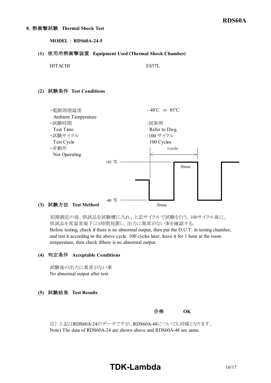**MODEL** : **RDS60A-24-5** 

#### **(1)** 使用冷熱衝撃装置 **Equipment Used (Thermal Shock Chamber)**

HITACHI ES57L

#### **(2)** 試験条件 **Test Conditions**



**(3)** 試験方法 **Test Method**

初期測定の後、供試品を試験槽に入れ、上記サイクルで試験を行う。100サイクル後に、 供試品を常温常湿下に1時間放置し、出力に異常がない事を確認する。 Before testing, check if there is no abnormal output, then put the D.U.T. in testing chamber, and test it according to the above cycle. 100 cycles later, leave it for 1 hour at the room temperature, then check ifthere is no abnormal output.

#### **(4)** 判定条件 **Acceptable Conditions**

試験後の出力に異常がない事 No abnormal output after test.

#### **(5)** 試験結果 **Test Results**

合格 **OK**

注) 上記はRDS60A-24のデータですが、RDS60A-48についても同様となります。 Note) The data of RDS60A-24 are shown above and RDS60A-48 are same.

# **TDKLambda**